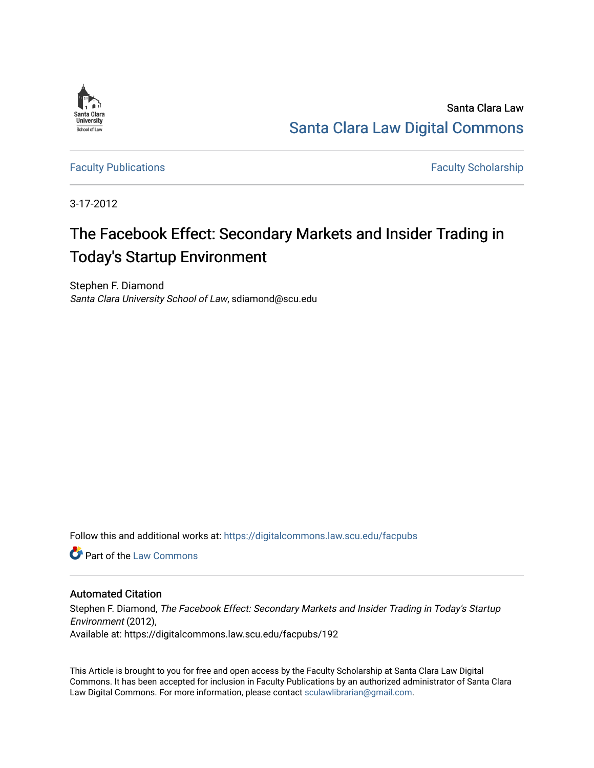

Santa Clara Law [Santa Clara Law Digital Commons](https://digitalcommons.law.scu.edu/) 

[Faculty Publications](https://digitalcommons.law.scu.edu/facpubs) **Faculty Scholarship** 

3-17-2012

# The Facebook Effect: Secondary Markets and Insider Trading in **Today's Startup Environment**

Stephen F. Diamond Santa Clara University School of Law, sdiamond@scu.edu

Follow this and additional works at: [https://digitalcommons.law.scu.edu/facpubs](https://digitalcommons.law.scu.edu/facpubs?utm_source=digitalcommons.law.scu.edu%2Ffacpubs%2F192&utm_medium=PDF&utm_campaign=PDFCoverPages) 

**C** Part of the [Law Commons](https://network.bepress.com/hgg/discipline/578?utm_source=digitalcommons.law.scu.edu%2Ffacpubs%2F192&utm_medium=PDF&utm_campaign=PDFCoverPages)

## Automated Citation

Stephen F. Diamond, The Facebook Effect: Secondary Markets and Insider Trading in Today's Startup Environment (2012), Available at: https://digitalcommons.law.scu.edu/facpubs/192

This Article is brought to you for free and open access by the Faculty Scholarship at Santa Clara Law Digital Commons. It has been accepted for inclusion in Faculty Publications by an authorized administrator of Santa Clara Law Digital Commons. For more information, please contact [sculawlibrarian@gmail.com.](mailto:sculawlibrarian@gmail.com)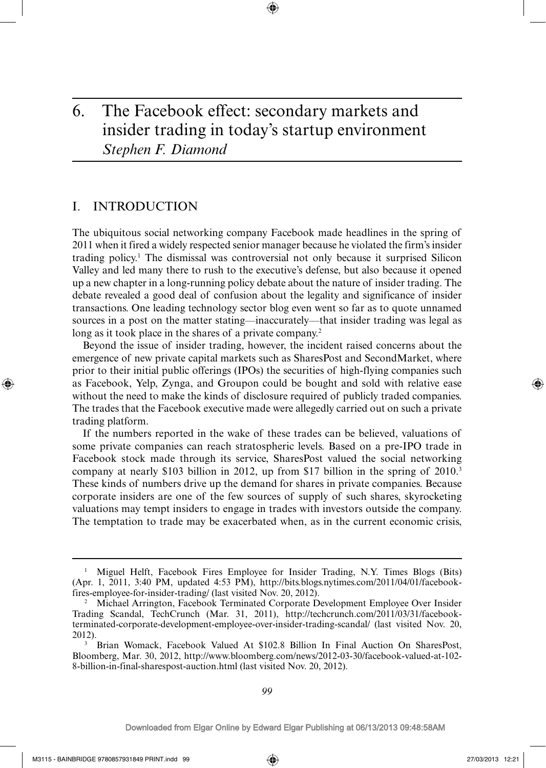## 6. The Facebook effect: secondary markets and insider trading in today's startup environment  *Stephen F. Diamond*

## I. INTRODUCTION

The ubiquitous social networking company Facebook made headlines in the spring of 2011 when it fired a widely respected senior manager because he violated the firm's insider trading policy.1 The dismissal was controversial not only because it surprised Silicon Valley and led many there to rush to the executive's defense, but also because it opened up a new chapter in a long- running policy debate about the nature of insider trading. The debate revealed a good deal of confusion about the legality and significance of insider transactions. One leading technology sector blog even went so far as to quote unnamed sources in a post on the matter stating—inaccurately—that insider trading was legal as long as it took place in the shares of a private company.<sup>2</sup>

Bey ond the issue of insider trading, however, the incident raised concerns about the emergence of new private capital markets such as SharesPost and SecondMarket, where prior to their initial public offerings (IPOs) the securities of high- flying companies such as Facebook, Yelp, Zynga, and Groupon could be bought and sold with relative ease without the need to make the kinds of disclosure required of publicly traded companies. The trades that the Facebook executive made were allegedly carried out on such a private trading platform.

If the numbers reported in the wake of these trades can be believed, valuations of some private companies can reach stratospheric levels. Based on a pre- IPO trade in Facebook stock made through its service, SharesPost valued the social networking company at nearly \$103 billion in 2012, up from \$17 billion in the spring of 2010.<sup>3</sup> These kinds of numbers drive up the demand for shares in private companies. Because corporate insiders are one of the few sources of supply of such shares, skyrocketing valuations may tempt insiders to engage in trades with investors outside the company. The temptation to trade may be exacerbated when, as in the current economic crisis,

 <sup>1</sup> Miguel Helft, Facebook Fires Employee for Insider Trading, N.Y. Times Blogs (Bits) (Apr. 1, 2011, 3:40 PM, updated 4:53 PM), http://bits.blogs.nytimes.com/2011/04/01/facebook-<br>fires-employee-for-insider-trading/ (last visited Nov. 20, 2012).

 $\frac{1}{2}$  Michael Arrington, Facebook Terminated Corporate Development Employee Over Insider Trading Scandal, TechCrunch (Mar. 31, 2011), http://techcrunch.com/2011/03/31/facebookterminated-corporate-development-employee-over-insider-trading-scandal/ (last visited Nov. 20, 2012).

<sup>2012). 3</sup> Brian Womack, Facebook Valued At \$102.8 Billion In Final Auction On SharesPost, Bloomberg, Mar. 30, 2012, http://www.bloomberg.com/news/2012-03-30/facebook-valued-at-102-8- billion- in- final- sharespost- auction.html (last visited Nov. 20, 2012).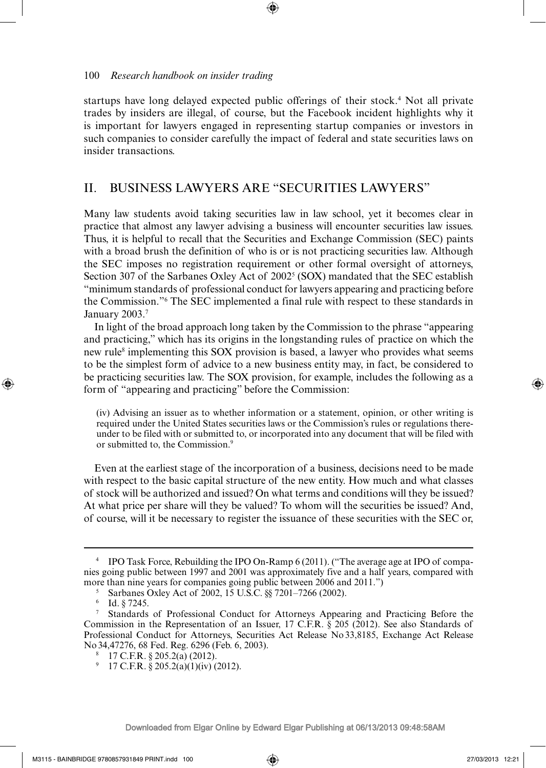startups have long delayed expected public offerings of their stock.4 Not all private trades by insiders are illegal, of course, but the Facebook incident highlights why it is important for lawyers engaged in representing startup companies or investors in such companies to consider carefully the impact of federal and state securities laws on insider transactions.

## II. BUSINESS LAWYERS ARE "SECURITIES LAWYERS"

Many law students avoid taking securities law in law school, yet it becomes clear in practice that almost any lawyer advising a business will encounter securities law issues. Thus, it is helpful to recall that the Securities and Exchange Commission (SEC) paints with a broad brush the definition of who is or is not practicing securities law. Although the SEC imposes no registration requirement or other formal oversight of attorneys, Section 307 of the Sarbanes Oxley Act of 2002<sup>5</sup> (SOX) mandated that the SEC establish "minimum standards of professional conduct for lawyers appearing and practicing before the Commission."6 The SEC implemented a final rule with respect to these standards in January 2003.<sup>7</sup>

In light of the broad approach long taken by the Commission to the phrase "appearing and practicing," which has its origins in the longstanding rules of practice on which the new rule<sup>8</sup> implementing this SOX provision is based, a lawyer who provides what seems to be the simplest form of advice to a new business entity may, in fact, be considered to be practicing securities law. The SOX provision, for example, includes the following as a form of "appearing and practicing" before the Commission:

(iv) Advising an issuer as to whether information or a statement, opinion, or other writing is required under the United States securities laws or the Commission's rules or regulations thereunder to be filed with or submitted to, or incorporated into any document that will be filed with or submitted to, the Commission.<sup>9</sup>

Even at the earliest stage of the incorporation of a business, decisions need to be made with respect to the basic capital structure of the new entity. How much and what classes of stock will be authorized and issued? On what terms and conditions will they be issued? At what price per share will they be valued? To whom will the securities be issued? And, of course, will it be necessary to register the issuance of these securities with the SEC or,

<sup>&</sup>lt;sup>4</sup> IPO Task Force, Rebuilding the IPO On-Ramp 6 (2011). ("The average age at IPO of companies going public between 1997 and 2001 was approximately five and a half years, compared with more than nine years for companies going public between 2006 and 2011.")<br>
<sup>5</sup> Sarbanes Oxley Act of 2002, 15 U.S.C. §§ 7201–7266 (2002).

 $\frac{6}{7}$  Id. § 7245.

 <sup>7</sup> Standards of Professional Conduct for Attorneys Appearing and Practicing Before the Commission in the Representation of an Issuer, 17 C.F.R. § 205 (2012). See also Standards of Professional Conduct for Attorneys, Securities Act Release No 33,8185, Exchange Act Release No 34,47276, 68 Fed. Reg. 6296 (Feb. 6, 2003).<br><sup>8</sup> 17 C.F.R. § 205.2(a) (2012).

 $9 \quad 17 \text{ C.F.R.} \$   $205.2(a)(1)(iv)$  (2012).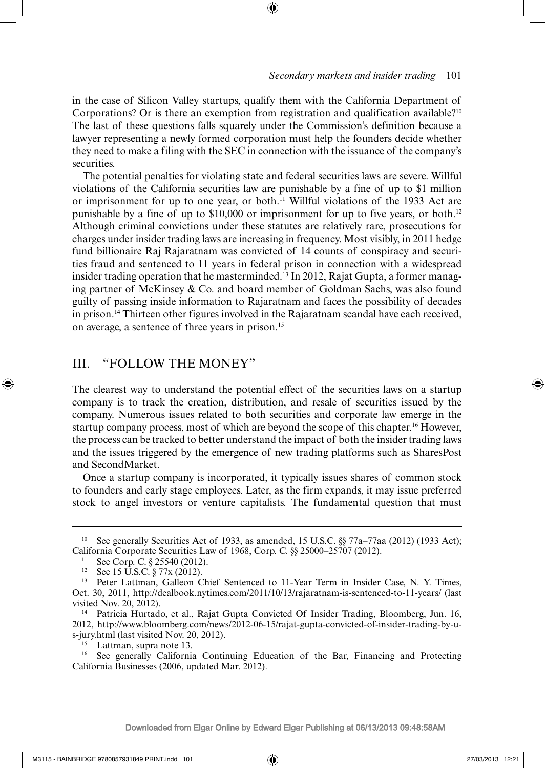in the case of Silicon Valley startups, qualify them with the California Department of Corporations? Or is there an exemption from registration and qualification available?10 The last of these questions falls squarely under the Commission's definition because a lawyer representing a newly formed corporation must help the founders decide whether they need to make a filing with the SEC in connection with the issuance of the company's securities.

The potential penalties for violating state and federal securities laws are severe. Willful violations of the California securities law are punishable by a fine of up to \$1 million or imprisonment for up to one year, or both.<sup>11</sup> Willful violations of the 1933 Act are punishable by a fine of up to \$10,000 or imprisonment for up to five years, or both.12 Although criminal convictions under these statutes are relatively rare, prosecutions for charges under insider trading laws are increasing in frequency. Most visibly, in 2011 hedge fund billionaire Raj Rajaratnam was convicted of 14 counts of conspiracy and securities fraud and sentenced to 11 years in federal prison in connection with a widespread insider trading operation that he masterminded.<sup>13</sup> In 2012, Rajat Gupta, a former managing partner of McKinsey & Co. and board member of Goldman Sachs, was also found guilty of passing inside information to Rajaratnam and faces the possibility of decades in prison.14 Thirteen other figures involved in the Rajaratnam scandal have each received, on average, a sentence of three years in prison.15

## III. "FOLLOW THE MONEY"

The clearest way to understand the potential effect of the securities laws on a startup company is to track the creation, distribution, and resale of securities issued by the company. Numerous issues related to both securities and corporate law emerge in the startup company process, most of which are beyond the scope of this chapter.<sup>16</sup> However, the process can be tracked to better understand the impact of both the insider trading laws and the issues triggered by the emergence of new trading platforms such as SharesPost and SecondMarket.

Once a startup company is incorporated, it typically issues shares of common stock to founders and early stage employees. Later, as the firm expands, it may issue preferred stock to angel investors or venture capitalists. The fundamental question that must

<sup>&</sup>lt;sup>10</sup> See generally Securities Act of 1933, as amended, 15 U.S.C.  $\frac{8}{5}$  77a–77aa (2012) (1933 Act); California Corporate Securities Law of 1968, Corp. C. §§ 25000–25707 (2012).<br><sup>11</sup> See Corp. C. § 25540 (2012).

<sup>12</sup> See 15 U.S.C. § 77x (2012).

<sup>&</sup>lt;sup>13</sup> Peter Lattman, Galleon Chief Sentenced to 11-Year Term in Insider Case, N.Y. Times, Oct. 30, 2011, http://dealbook.nytimes.com/2011/10/13/rajaratnam-is-sentenced-to-11-years/ (last visited Nov. 20, 2012).

<sup>&</sup>lt;sup>14</sup> Patricia Hurtado, et al., Rajat Gupta Convicted Of Insider Trading, Bloomberg, Jun. 16, 2012, http://www.bloomberg.com/news/2012- 06- 15/rajat- gupta- convicted- of- insider- trading- by- us-jury.html (last visited Nov. 20, 2012).<br><sup>15</sup> Lattman, supra note 13.

<sup>16</sup> See generally California Continuing Education of the Bar, Financing and Protecting California Businesses (2006, updated Mar. 2012).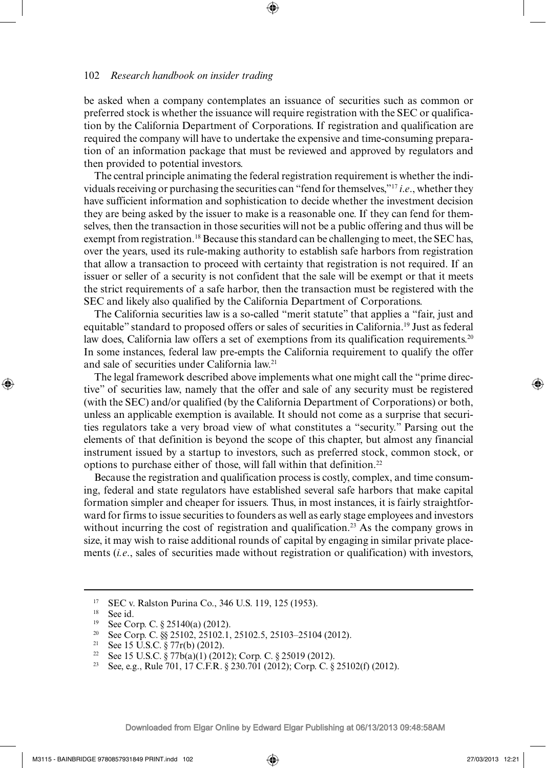#### 102 *Research handbook on insider trading*

be asked when a company contemplates an issuance of securities such as common or preferred stock is whether the issuance will require registration with the SEC or qualification by the California Department of Corporations. If registration and qualification are required the company will have to undertake the expensive and time- consuming preparation of an information package that must be reviewed and approved by regulators and then provided to potential investors.

The central principle animating the federal registration requirement is whether the individuals receiving or purchasing the securities can "fend for themselves,"17 *i*.*e*., whether they have sufficient information and sophistication to decide whether the investment decision they are being asked by the issuer to make is a reasonable one. If they can fend for themselves, then the transaction in those securities will not be a public offering and thus will be exempt from registration.<sup>18</sup> Because this standard can be challenging to meet, the SEC has, over the years, used its rule-making authority to establish safe harbors from registration that allow a transaction to proceed with certainty that registration is not required. If an issuer or seller of a security is not confident that the sale will be exempt or that it meets the strict requirements of a safe harbor, then the transaction must be registered with the SEC and likely also qualified by the California Department of Corporations.

The California securities law is a so-called "merit statute" that applies a "fair, just and equitable" standard to proposed offers or sales of securities in California.<sup>19</sup> Just as federal law does, California law offers a set of exemptions from its qualification requirements.<sup>20</sup> In some instances, federal law pre-empts the California requirement to qualify the offer and sale of securities under California law.21

The legal framework described above implements what one might call the "prime directive" of securities law, namely that the offer and sale of any security must be registered (with the SEC) and/or qualified (by the California Department of Corporations) or both, unless an applicable exemption is available. It should not come as a surprise that securities regulators take a very broad view of what constitutes a "security." Parsing out the elements of that definition is beyond the scope of this chapter, but almost any financial instrument issued by a startup to investors, such as preferred stock, common stock, or options to purchase either of those, will fall within that definition.<sup>22</sup>

Because the registration and qualification process is costly, complex, and time consuming, federal and state regulators have established several safe harbors that make capital formation simpler and cheaper for issuers. Thus, in most instances, it is fairly straightforward for firms to issue securities to founders as well as early stage employees and investors without incurring the cost of registration and qualification.<sup>23</sup> As the company grows in size, it may wish to raise additional rounds of capital by engaging in similar private placements (*i.e*., sales of securities made without registration or qualification) with investors,

<sup>17</sup> SEC v. Ralston Purina Co., 346 U.S. 119, 125 (1953).

<sup>18</sup> See id.

<sup>&</sup>lt;sup>19</sup> See Corp. C.  $\S$  25140(a) (2012).

<sup>&</sup>lt;sup>20</sup> See Corp. C. §§ 25102, 25102.1, 25102.5, 25103–25104 (2012).<br><sup>21</sup> See 15 U.S.C. § 77r(b) (2012).

<sup>&</sup>lt;sup>21</sup> See 15 U.S.C.  $\frac{8}{3}$  77r(b) (2012).<br><sup>22</sup> See 15 U.S.C.  $\frac{8}{3}$  77b(a)(1) (201

<sup>&</sup>lt;sup>22</sup> See 15 U.S.C.  $\frac{5}{3}$  77b(a)(1) (2012); Corp. C.  $\frac{5}{3}$  25019 (2012).

See, e.g., Rule 701, 17 C.F.R. § 230.701 (2012); Corp. C. § 25102(f) (2012).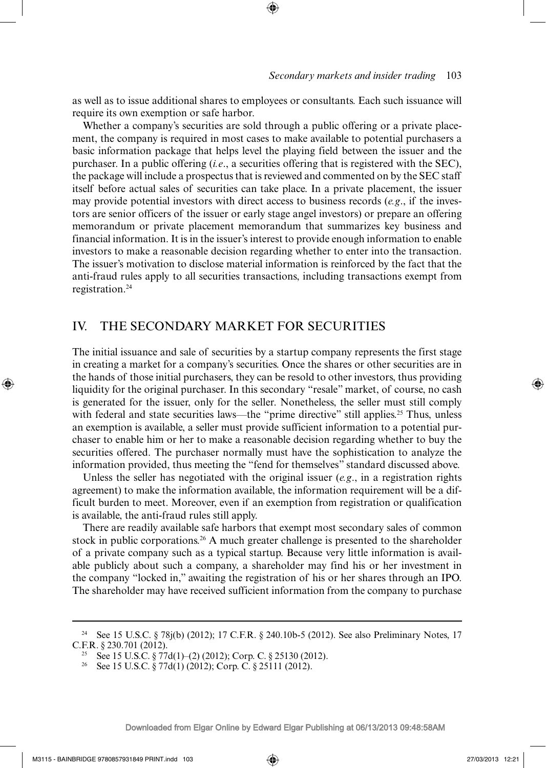as well as to issue additional shares to employees or consultants. Each such issuance will require its own exemption or safe harbor.

Whether a company's securities are sold through a public offering or a private placement, the company is required in most cases to make available to potential purchasers a basic information package that helps level the playing field between the issuer and the purchaser. In a public offering (*i.e*., a securities offering that is registered with the SEC), the package will include a prospectus that is reviewed and commented on by the SEC staff itself before actual sales of securities can take place. In a private placement, the issuer may provide potential investors with direct access to business records (*e.g*., if the investors are senior officers of the issuer or early stage angel investors) or prepare an offering memorandum or private placement memorandum that summarizes key business and financial information. It is in the issuer's interest to provide enough information to enable investors to make a reasonable decision regarding whether to enter into the transaction. The issuer's motivation to disclose material information is reinforced by the fact that the anti- fraud rules apply to all securities transactions, including transactions exempt from registration.24

## IV. THE SECONDARY MARKET FOR SECURITIES

The initial issuance and sale of securities by a startup company represents the first stage in creating a market for a company's securities. Once the shares or other securities are in the hands of those initial purchasers, they can be resold to other investors, thus providing liquidity for the original purchaser. In this secondary "resale" market, of course, no cash is generated for the issuer, only for the seller. Nonetheless, the seller must still comply with federal and state securities laws—the "prime directive" still applies.<sup>25</sup> Thus, unless an exemption is available, a seller must provide sufficient information to a potential purchaser to enable him or her to make a reasonable decision regarding whether to buy the securities offered. The purchaser normally must have the sophistication to analyze the information provided, thus meeting the "fend for themselves" standard discussed above.

Unless the seller has negotiated with the original issuer (*e.g*., in a registration rights agreement) to make the information available, the information requirement will be a difficult burden to meet. Moreover, even if an exemption from registration or qualification is available, the anti-fraud rules still apply.

There are readily available safe harbors that exempt most secondary sales of common stock in public corporations.<sup>26</sup> A much greater challenge is presented to the shareholder of a private company such as a typical startup. Because very little information is available publicly about such a company, a shareholder may find his or her investment in the company "locked in," awaiting the registration of his or her shares through an IPO. The shareholder may have received sufficient information from the company to purchase

<sup>&</sup>lt;sup>24</sup> See 15 U.S.C. § 78j(b) (2012); 17 C.F.R. § 240.10b-5 (2012). See also Preliminary Notes, 17 C.F.R. § 230.701 (2012).

See 15 U.S.C.  $\frac{5}{9}$  77d(1)–(2) (2012); Corp. C.  $\frac{5}{9}$  25130 (2012).

<sup>26</sup> See 15 U.S.C. § 77d(1) (2012); Corp. C. § 25111 (2012).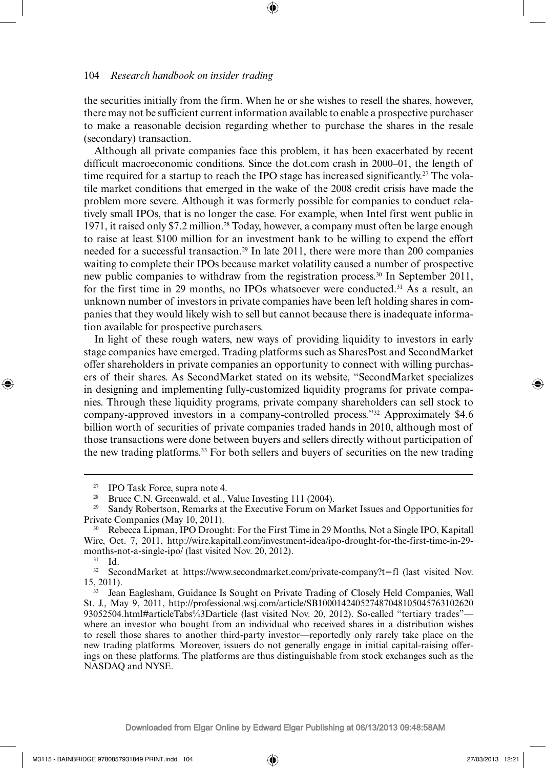the securities initially from the firm. When he or she wishes to resell the shares, however, there may not be sufficient current information available to enable a prospective purchaser to make a reasonable decision regarding whether to purchase the shares in the resale (secondary) transaction.

Although all private companies face this problem, it has been exacerbated by recent difficult macroeconomic conditions. Since the dot.com crash in 2000–01, the length of time required for a startup to reach the IPO stage has increased significantly.<sup>27</sup> The volatile market conditions that emerged in the wake of the 2008 credit crisis have made the problem more severe. Although it was formerly possible for companies to conduct relatively small IPOs, that is no longer the case. For example, when Intel first went public in 1971, it raised only \$7.2 million.28 Today, however, a company must often be large enough to raise at least \$100 million for an investment bank to be willing to expend the effort needed for a successful transaction.<sup>29</sup> In late 2011, there were more than 200 companies waiting to complete their IPOs because market volatility caused a number of prospective new public companies to withdraw from the registration process.30 In September 2011, for the first time in 29 months, no IPOs whatsoever were conducted.<sup>31</sup> As a result, an unknown number of investors in private companies have been left holding shares in companies that they would likely wish to sell but cannot because there is inadequate information available for prospective purchasers.

In light of these rough waters, new ways of providing liquidity to investors in early stage companies have emerged. Trading platforms such as SharesPost and SecondMarket offer shareholders in private companies an opportunity to connect with willing purchasers of their shares. As SecondMarket stated on its website, "SecondMarket specializes in designing and implementing fully-customized liquidity programs for private companies. Through these liquidity programs, private company shareholders can sell stock to company- approved investors in a company- controlled process."32 Approximately \$4.6 billion worth of securities of private companies traded hands in 2010, although most of those transactions were done between buyers and sellers directly without participation of the new trading platforms.33 For both sellers and buyers of securities on the new trading

<sup>27</sup> IPO Task Force, supra note 4.

<sup>&</sup>lt;sup>28</sup> Bruce C.N. Greenwald, et al., Value Investing 111 (2004).<br><sup>29</sup> Sandy Robertson, Bemarks at the Executive Forum on M

<sup>29</sup> Sandy Robertson, Remarks at the Executive Forum on Market Issues and Opportunities for Private Companies (May 10, 2011).

<sup>30</sup> Rebecca Lipman, IPO Drought: For the First Time in 29 Months, Not a Single IPO, Kapitall Wire, Oct. 7, 2011, http://wire.kapitall.com/investment-idea/ipo-drought-for-the-first-time-in-29months-not-a-single-ipo/ (last visited Nov. 20, 2012).<br><sup>31</sup> Id.

<sup>&</sup>lt;sup>32</sup> SecondMarket at https://www.secondmarket.com/private-company?t=fl (last visited Nov. 15, 2011).

<sup>33</sup> Jean Eaglesham, Guidance Is Sought on Private Trading of Closely Held Companies, Wall St. J., May 9, 2011, http://professional.wsj.com/article/SB100014240527487048105045763102620 93052504.html#articleTabs%3Darticle (last visited Nov. 20, 2012). So- called "tertiary trades" where an investor who bought from an individual who received shares in a distribution wishes to resell those shares to another third-party investor—reportedly only rarely take place on the new trading platforms. Moreover, issuers do not generally engage in initial capital-raising offerings on these platforms. The platforms are thus distinguishable from stock exchanges such as the NASDAQ and NYSE.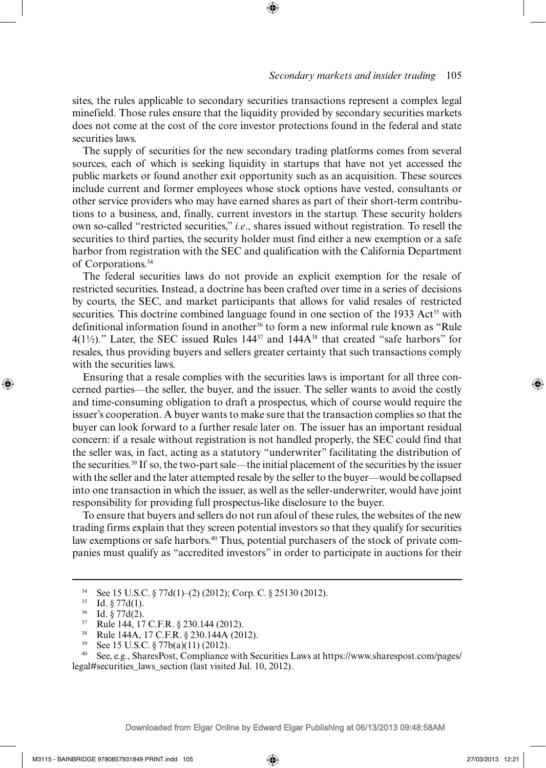sites, the rules applicable to secondary securities transactions represent a complex legal minefield. Those rules ensure that the liquidity provided by secondary securities markets does not come at the cost of the core investor protections found in the federal and state securities laws.

The supply of securities for the new secondary trading platforms comes from several sources, each of which is seeking liquidity in startups that have not yet accessed the public markets or found another exit opportunity such as an acquisition. These sources include current and former employees whose stock options have vested, consultants or other service providers who may have earned shares as part of their short- term contributions to a business, and, finally, current investors in the startup. These security holders own so- called "restricted securities," *i.e*., shares issued without registration. To resell the securities to third parties, the security holder must find either a new exemption or a safe harbor from registration with the SEC and qualification with the California Department of Corporations.34

The federal securities laws do not provide an explicit exemption for the resale of restricted securities. Instead, a doctrine has been crafted over time in a series of decisions by courts, the SEC, and market participants that allows for valid resales of restricted securities. This doctrine combined language found in one section of the 1933 Act<sup>35</sup> with definitional information found in another<sup>36</sup> to form a new informal rule known as "Rule  $4(1\frac{1}{2})$ ." Later, the SEC issued Rules  $144^{37}$  and  $144A^{38}$  that created "safe harbors" for resales, thus providing buyers and sellers greater certainty that such transactions comply with the securities laws.

Ensuring that a resale complies with the securities laws is important for all three concerned parties—the seller, the buyer, and the issuer. The seller wants to avoid the costly and time- consuming obligation to draft a prospectus, which of course would require the issuer's cooperation. A buyer wants to make sure that the transaction complies so that the buyer can look forward to a further resale later on. The issuer has an important residual concern: if a resale without registration is not handled properly, the SEC could find that the seller was, in fact, acting as a statutory "underwriter" facilitating the distribution of the securities.39 If so, the two- part sale—the initial placement of the securities by the issuer with the seller and the later attempted resale by the seller to the buyer—would be collapsed into one transaction in which the issuer, as well as the seller- underwriter, would have joint responsibility for providing full prospectus- like disclosure to the buyer.

To ensure that buyers and sellers do not run afoul of these rules, the websites of the new trading firms explain that they screen potential investors so that they qualify for securities law exemptions or safe harbors.<sup>40</sup> Thus, potential purchasers of the stock of private companies must qualify as "accredited investors" in order to participate in auctions for their

<sup>34</sup> See 15 U.S.C. § 77d(1)–(2) (2012); Corp. C. § 25130 (2012).

 $35$  Id. § 77d(1).

<sup>36</sup> Id. § 77d(2).

 $37$  Rule 144, 17 C.F.R.  $\S$  230.144 (2012).

<sup>&</sup>lt;sup>38</sup> Rule 144A, 17 C.F.R. § 230.144A (2012).<br><sup>39</sup> See 15 U.S.C. § 77b(a)(11) (2012).

See 15 U.S.C. § 77b(a)(11) (2012).

<sup>40</sup> See, e.g., SharesPost, Compliance with Securities Laws at https://www.sharespost.com/pages/ legal#securities\_laws\_section (last visited Jul. 10, 2012).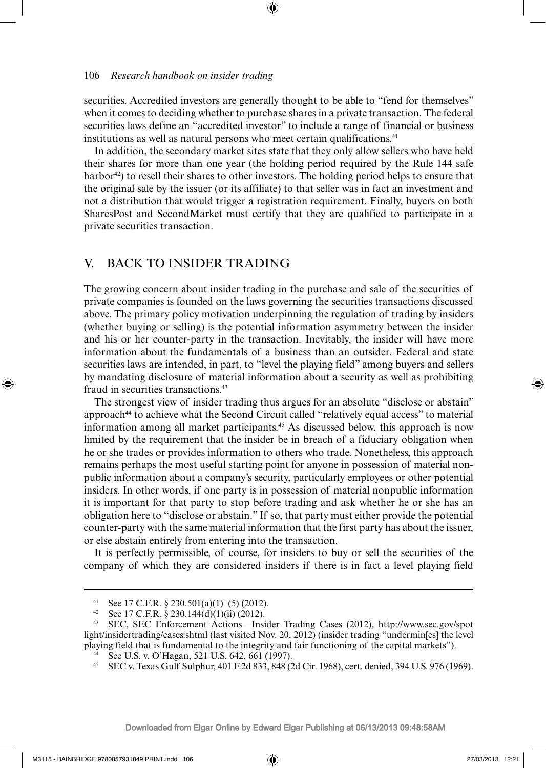securities. Accredited investors are generally thought to be able to "fend for themselves" when it comes to deciding whether to purchase shares in a private transaction. The federal securities laws define an "accredited investor" to include a range of financial or business institutions as well as natural persons who meet certain qualifications.<sup>41</sup>

In addition, the secondary market sites state that they only allow sellers who have held their shares for more than one year (the holding period required by the Rule 144 safe harbor<sup>42</sup>) to resell their shares to other investors. The holding period helps to ensure that the original sale by the issuer (or its affiliate) to that seller was in fact an investment and not a distribution that would trigger a registration requirement. Finally, buyers on both SharesPost and SecondMarket must certify that they are qualified to participate in a private securities transaction.

## V. BACK TO INSIDER TRADING

The growing concern about insider trading in the purchase and sale of the securities of private companies is founded on the laws governing the securities transactions discussed above. The primary policy motivation underpinning the regulation of trading by insiders (whether buying or selling) is the potential information asymmetry between the insider and his or her counter-party in the transaction. Inevitably, the insider will have more information about the fundamentals of a business than an outsider. Federal and state securities laws are intended, in part, to "level the playing field" among buyers and sellers by mandating disclosure of material information about a security as well as prohibiting fraud in securities transactions.43

The strongest view of insider trading thus argues for an absolute "disclose or abstain" approach<sup>44</sup> to achieve what the Second Circuit called "relatively equal access" to material information among all market participants.45 As discussed below, this approach is now limited by the requirement that the insider be in breach of a fiduciary obligation when he or she trades or provides information to others who trade. Nonetheless, this approach remains perhaps the most useful starting point for anyone in possession of material nonpublic information about a company's security, particularly employees or other potential insiders. In other words, if one party is in possession of material nonpublic information it is important for that party to stop before trading and ask whether he or she has an obligation here to "disclose or abstain." If so, that party must either provide the potential counter- party with the same material information that the first party has about the issuer, or else abstain entirely from entering into the transaction.

It is perfectly permissible, of course, for insiders to buy or sell the securities of the company of which they are considered insiders if there is in fact a level playing field

<sup>&</sup>lt;sup>41</sup> See 17 C.F.R. § 230.501(a)(1)–(5) (2012).<br><sup>42</sup> See 17 C.F.R. § 230.144(d)(1)(ii) (2012).

See 17 C.F.R. § 230.144(d)(1)(ii) (2012).

<sup>43</sup> SEC, SEC Enforcement Actions—Insider Trading Cases (2012), http://www.sec.gov/spot light/insidertrading/cases.shtml (last visited Nov. 20, 2012) (insider trading "undermin[es] the level playing field that is fundamental to the integrity and fair functioning of the capital markets").

See U.S. v. O'Hagan, 521 U.S. 642, 661 (1997).

<sup>45</sup> SEC v. Texas Gulf Sulphur, 401 F.2d 833, 848 (2d Cir. 1968), cert. denied, 394 U.S. 976 (1969).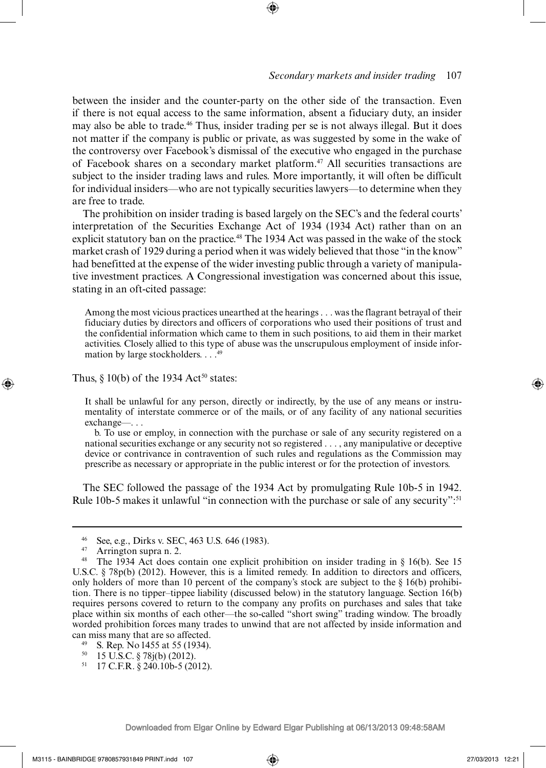between the insider and the counter-party on the other side of the transaction. Even if there is not equal access to the same information, absent a fiduciary duty, an insider may also be able to trade.46 Thus, insider trading per se is not always illegal. But it does not matter if the company is public or private, as was suggested by some in the wake of the controversy over Facebook's dismissal of the executive who engaged in the purchase of Facebook shares on a secondary market platform.47 All securities transactions are subject to the insider trading laws and rules. More importantly, it will often be difficult for individual insiders—who are not typically securities lawyers—to determine when they are free to trade.

The prohibition on insider trading is based largely on the SEC's and the federal courts' interpretation of the Securities Exchange Act of 1934 (1934 Act) rather than on an explicit statutory ban on the practice.<sup>48</sup> The 1934 Act was passed in the wake of the stock market crash of 1929 during a period when it was widely believed that those "in the know" had benefitted at the expense of the wider investing public through a variety of manipulative investment practices. A Congressional investigation was concerned about this issue, stating in an oft-cited passage:

Among the most vicious practices unearthed at the hearings . . . was the flagrant betrayal of their fiduciary duties by directors and officers of corporations who used their positions of trust and the confidential information which came to them in such positions, to aid them in their market activities. Closely allied to this type of abuse was the unscrupulous employment of inside information by large stockholders. . . .49

#### Thus,  $\S$  10(b) of the 1934 Act<sup>50</sup> states:

It shall be unlawful for any person, directly or indirectly, by the use of any means or instrumentality of interstate commerce or of the mails, or of any facility of any national securities exchange—. . .

 b. To use or employ, in connection with the purchase or sale of any security registered on a national securities exchange or any security not so registered . . . , any manipulative or deceptive device or contrivance in contravention of such rules and regulations as the Commission may prescribe as necessary or appropriate in the public interest or for the protection of investors.

The SEC followed the passage of the 1934 Act by promulgating Rule 10b-5 in 1942. Rule 10b-5 makes it unlawful "in connection with the purchase or sale of any security":<sup>51</sup>

<sup>46</sup> See, e.g., Dirks v. SEC, 463 U.S. 646 (1983).

<sup>47</sup> Arrington supra n. 2.

<sup>48</sup> The 1934 Act does contain one explicit prohibition on insider trading in § 16(b). See 15 U.S.C.  $\S$  78p(b) (2012). However, this is a limited remedy. In addition to directors and officers, only holders of more than 10 percent of the company's stock are subject to the  $\S$  16(b) prohibition. There is no tipper–tippee liability (discussed below) in the statutory language. Section 16(b) requires persons covered to return to the company any profits on purchases and sales that take place within six months of each other—the so- called "short swing" trading window. The broadly worded prohibition forces many trades to unwind that are not affected by inside information and can miss many that are so affected.

<sup>49</sup> S. Rep. No 1455 at 55 (1934).

<sup>50 15</sup> U.S.C. § 78j(b) (2012).

 $51$  17 C.F.R. § 240.10b-5 (2012).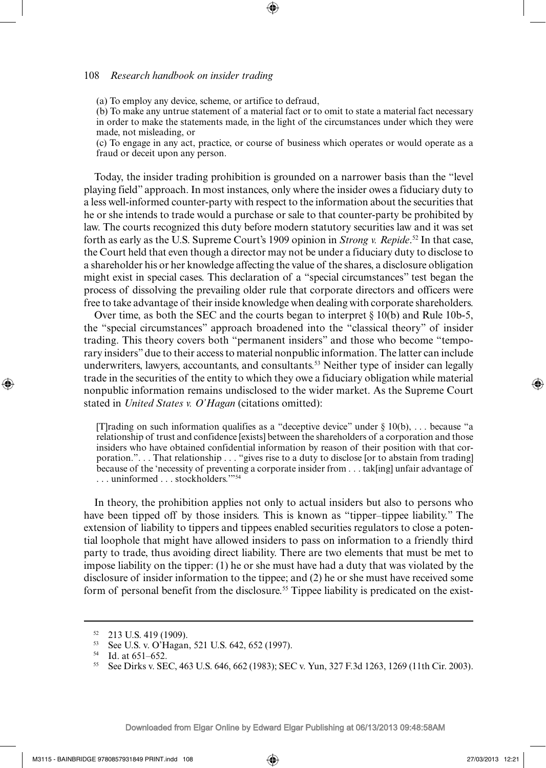(a) To employ any device, scheme, or artifice to defraud,

(b) To make any untrue statement of a material fact or to omit to state a material fact necessary in order to make the statements made, in the light of the circumstances under which they were made, not misleading, or

(c) To engage in any act, practice, or course of business which operates or would operate as a fraud or deceit upon any person.

Today, the insider trading prohibition is grounded on a narrower basis than the "level playing field" approach. In most instances, only where the insider owes a fiduciary duty to a less well- informed counter- party with respect to the information about the securities that he or she intends to trade would a purchase or sale to that counter- party be prohibited by law. The courts recognized this duty before modern statutory securities law and it was set forth as early as the U.S. Supreme Court's 1909 opinion in *Strong v. Repide*. 52 In that case, the Court held that even though a director may not be under a fiduciary duty to disclose to a shareholder his or her knowledge affecting the value of the shares, a disclosure obligation might exist in special cases. This declaration of a "special circumstances" test began the process of dissolving the prevailing older rule that corporate directors and officers were free to take advantage of their inside knowledge when dealing with corporate shareholders.

Over time, as both the SEC and the courts began to interpret  $\S 10(b)$  and Rule 10b-5, the "special circumstances" approach broadened into the "classical theory" of insider trading. This theory covers both "permanent insiders" and those who become "temporary insiders" due to their access to material nonpublic information. The latter can include underwriters, lawyers, accountants, and consultants.53 Neither type of insider can legally trade in the securities of the entity to which they owe a fiduciary obligation while material nonpublic information remains undisclosed to the wider market. As the Supreme Court stated in *United States v. O'Hagan* (citations omitted):

[T]rading on such information qualifies as a "deceptive device" under  $\S 10(b)$ , ... because "a relationship of trust and confidence [exists] between the shareholders of a corporation and those insiders who have obtained confidential information by reason of their position with that corporation.". . . That relationship . . . "gives rise to a duty to disclose [or to abstain from trading] because of the 'necessity of preventing a corporate insider from . . . tak[ing] unfair advantage of . . . uninformed . . . stockholders.'"54

In theory, the prohibition applies not only to actual insiders but also to persons who have been tipped off by those insiders. This is known as "tipper–tippee liability." The extension of liability to tippers and tippees enabled securities regulators to close a potential loophole that might have allowed insiders to pass on information to a friendly third party to trade, thus avoiding direct liability. There are two elements that must be met to impose liability on the tipper: (1) he or she must have had a duty that was violated by the disclosure of insider information to the tippee; and (2) he or she must have received some form of personal benefit from the disclosure.<sup>55</sup> Tippee liability is predicated on the exist-

 $52 \quad 213 \text{ U.S. } 419 \text{ (1909)}.$ <br> $53 \quad \text{See U.S. v. } \text{O'Hagan}$ 

See U.S. v. O'Hagan, 521 U.S. 642, 652 (1997).

 $^{54}$  Id. at 651–652.

<sup>55</sup> See Dirks v. SEC, 463 U.S. 646, 662 (1983); SEC v. Yun, 327 F.3d 1263, 1269 (11th Cir. 2003).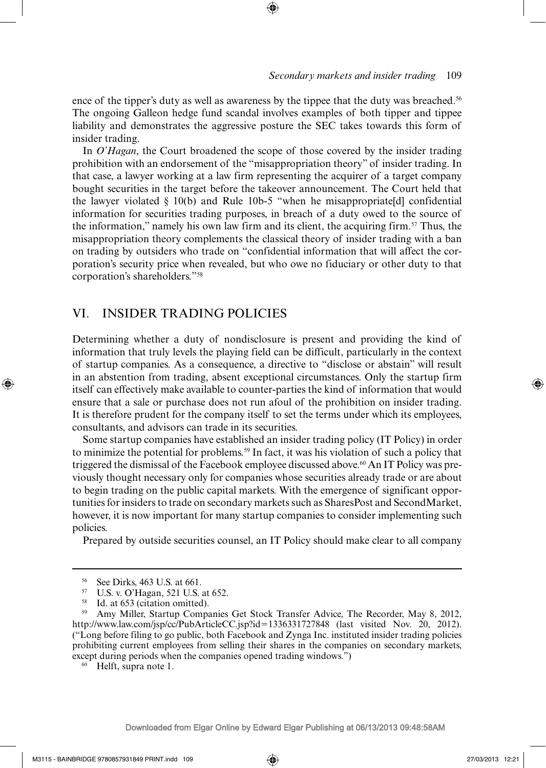ence of the tipper's duty as well as awareness by the tippee that the duty was breached.<sup>56</sup> The ongoing Galleon hedge fund scandal involves examples of both tipper and tippee liability and demonstrates the aggressive posture the SEC takes towards this form of insider trading.

In *O'Hagan*, the Court broadened the scope of those covered by the insider trading prohibition with an endorsement of the "misappropriation theory" of insider trading. In that case, a lawyer working at a law firm representing the acquirer of a target company bought securities in the target before the takeover announcement. The Court held that the lawyer violated  $\S$  10(b) and Rule 10b-5 "when he misappropriate[d] confidential information for securities trading purposes, in breach of a duty owed to the source of the information," namely his own law firm and its client, the acquiring firm.57 Thus, the misappropriation theory complements the classical theory of insider trading with a ban on trading by outsiders who trade on "confidential information that will affect the corporation's security price when revealed, but who owe no fiduciary or other duty to that corporation's shareholders."58

## VI. INSIDER TRADING POLICIES

Determining whether a duty of nondisclosure is present and providing the kind of information that truly levels the playing field can be difficult, particularly in the context of startup companies. As a consequence, a directive to "disclose or abstain" will result in an abstention from trading, absent exceptional circumstances. Only the startup firm itself can effectively make available to counter- parties the kind of information that would ensure that a sale or purchase does not run afoul of the prohibition on insider trading. It is therefore prudent for the company itself to set the terms under which its employees, consultants, and advisors can trade in its securities.

Some startup companies have established an insider trading policy (IT Policy) in order to minimize the potential for problems.<sup>59</sup> In fact, it was his violation of such a policy that triggered the dismissal of the Facebook employee discussed above.<sup>60</sup> An IT Policy was previously thought necessary only for companies whose securities already trade or are about to begin trading on the public capital markets. With the emergence of significant opportunities for insiders to trade on secondary markets such as SharesPost and SecondMarket, however, it is now important for many startup companies to consider implementing such policies.

Prepared by outside securities counsel, an IT Policy should make clear to all company

<sup>56</sup> See Dirks, 463 U.S. at 661.

<sup>57</sup> U.S. v. O'Hagan, 521 U.S. at 652.

 $^{58}$  Id. at 653 (citation omitted).<br> $^{59}$  Amy Miller Startun Compa

<sup>59</sup> Amy Miller, Startup Companies Get Stock Transfer Advice, The Recorder, May 8, 2012, http://www.law.com/jsp/cc/PubArticleCC.jsp?id=1336331727848 (last visited Nov. 20, 2012). ("Long before filing to go public, both Facebook and Zynga Inc. instituted insider trading policies prohibiting current employees from selling their shares in the companies on secondary markets, except during periods when the companies opened trading windows.")

<sup>60</sup> Helft, supra note 1.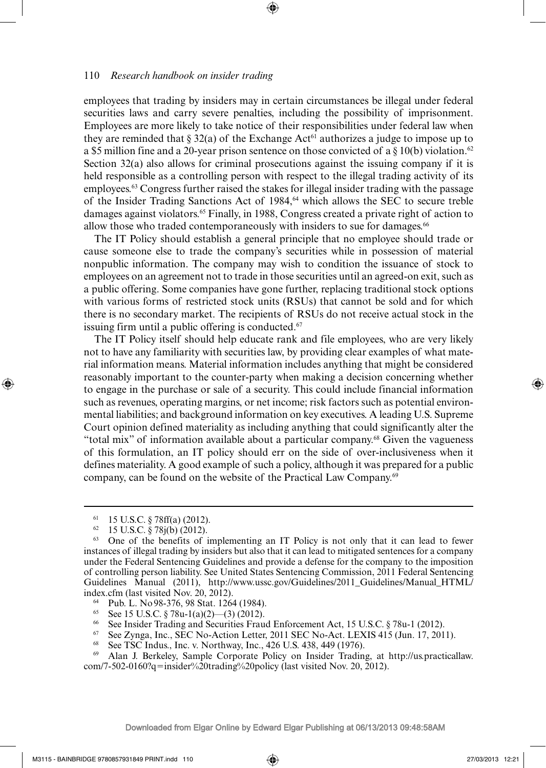employees that trading by insiders may in certain circumstances be illegal under federal securities laws and carry severe penalties, including the possibility of imprisonment. Employees are more likely to take notice of their responsibilities under federal law when they are reminded that § 32(a) of the Exchange Act<sup>61</sup> authorizes a judge to impose up to a \$5 million fine and a 20-year prison sentence on those convicted of a  $\S 10(b)$  violation.<sup>62</sup> Section 32(a) also allows for criminal prosecutions against the issuing company if it is held responsible as a controlling person with respect to the illegal trading activity of its employees.63 Congress further raised the stakes for illegal insider trading with the passage of the Insider Trading Sanctions Act of 1984,<sup>64</sup> which allows the SEC to secure treble damages against violators.<sup>65</sup> Finally, in 1988, Congress created a private right of action to allow those who traded contemporaneously with insiders to sue for damages.<sup>66</sup>

The IT Policy should establish a general principle that no employee should trade or cause someone else to trade the company's securities while in possession of material nonpublic information. The company may wish to condition the issuance of stock to employees on an agreement not to trade in those securities until an agreed- on exit, such as a public offering. Some companies have gone further, replacing traditional stock options with various forms of restricted stock units (RSUs) that cannot be sold and for which there is no secondary market. The recipients of RSUs do not receive actual stock in the issuing firm until a public offering is conducted.<sup>67</sup>

The IT Policy itself should help educate rank and file employees, who are very likely not to have any familiarity with securities law, by providing clear examples of what material information means. Material information includes anything that might be considered reasonably important to the counter-party when making a decision concerning whether to engage in the purchase or sale of a security. This could include financial information such as revenues, operating margins, or net income; risk factors such as potential environmental liabilities; and background information on key executives. A leading U.S. Supreme Court opinion defined materiality as including anything that could significantly alter the "total mix" of information available about a particular company.<sup>68</sup> Given the vagueness of this formulation, an IT policy should err on the side of over- inclusiveness when it defines materiality. A good example of such a policy, although it was prepared for a public company, can be found on the website of the Practical Law Company.69

- 65 See 15 U.S.C.  $\S 78u-1(a)(2)$ —(3) (2012).
- <sup>66</sup> See Insider Trading and Securities Fraud Enforcement Act, 15 U.S.C.  $\S 78u-1$  (2012).<br><sup>67</sup> See Zynga, Inc. SEC No-Action Letter 2011 SEC No-Act, LEXIS 415 (Jun. 17, 201
- 67 See Zynga, Inc., SEC No-Action Letter, 2011 SEC No-Act. LEXIS 415 (Jun. 17, 2011).<br>68 See TSC Indust Inc. v Northway Inc. 426 U.S. 438 449 (1976)
- See TSC Indus., Inc. v. Northway, Inc., 426 U.S. 438, 449 (1976).

<sup>&</sup>lt;sup>61</sup> 15 U.S.C. § 78ff(a) (2012).<br><sup>62</sup> 15 U.S.C. § 78j(b) (2012).

 $^{62}$  15 U.S.C.  $\frac{8}{9}$  78j(b) (2012).

One of the benefits of implementing an IT Policy is not only that it can lead to fewer instances of illegal trading by insiders but also that it can lead to mitigated sentences for a company under the Federal Sentencing Guidelines and provide a defense for the company to the imposition of controlling person liability. See United States Sentencing Commission, 2011 Federal Sentencing Guidelines Manual (2011), http://www.ussc.gov/Guidelines/2011\_Guidelines/Manual\_HTML/<br>index.cfm (last visited Nov. 20, 2012).

<sup>&</sup>lt;sup>64</sup> Pub. L. No 98-376, 98 Stat. 1264 (1984).

<sup>69</sup> Alan J. Berkeley, Sample Corporate Policy on Insider Trading, at http://us.practicallaw. com/7-502-0160?q=insider%20trading%20policy (last visited Nov. 20, 2012).